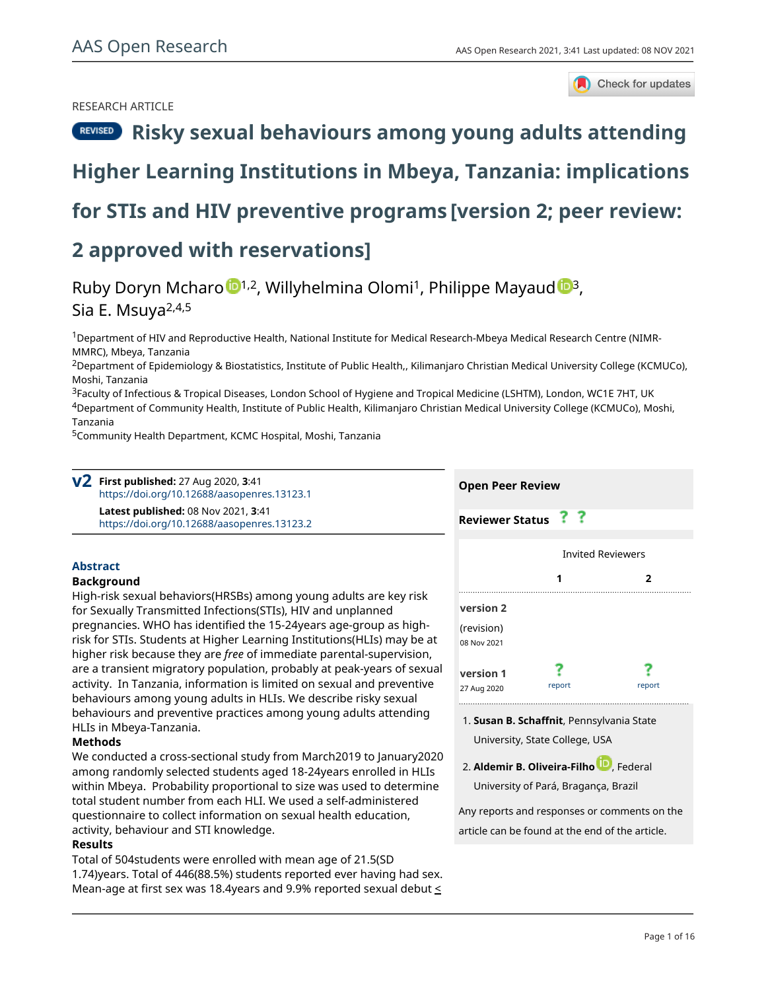## RESEARCH ARTICLE



# **[Risky sexual behaviours among young adults attending](https://aasopenresearch.org/articles/3-41/v2)**

# **[Higher Learning Institutions in Mbeya, Tanzania: implications](https://aasopenresearch.org/articles/3-41/v2)**

# **[for STIs and HIV preventive programs](https://aasopenresearch.org/articles/3-41/v2) [version 2; peer review:**

# **2 approved with reservations]**

# Ruby Doryn Mcharo  $\mathbb{D}^{1,2}$  $\mathbb{D}^{1,2}$  $\mathbb{D}^{1,2}$ , Willyhelmina Olomi<sup>1</sup>, Philippe Mayau[d](https://orcid.org/0000-0001-5730-947X)  $\mathbb{D}^{3}$ , Sia E. Msuya<sup>2,4,5</sup>

<sup>1</sup>Department of HIV and Reproductive Health, National Institute for Medical Research-Mbeya Medical Research Centre (NIMR-MMRC), Mbeya, Tanzania

<sup>2</sup>Department of Epidemiology & Biostatistics, Institute of Public Health,, Kilimanjaro Christian Medical University College (KCMUCo), Moshi, Tanzania

<sup>3</sup>Faculty of Infectious & Tropical Diseases, London School of Hygiene and Tropical Medicine (LSHTM), London, WC1E 7HT, UK <sup>4</sup>Department of Community Health, Institute of Public Health, Kilimanjaro Christian Medical University College (KCMUCo), Moshi,

Tanzania

<sup>5</sup>Community Health Department, KCMC Hospital, Moshi, Tanzania

**First published:** 27 Aug 2020, **3**:41 **v2** <https://doi.org/10.12688/aasopenres.13123.1> **Latest published:** 08 Nov 2021, **3**:41 <https://doi.org/10.12688/aasopenres.13123.2>

### **Abstract**

#### **Background**

High-risk sexual behaviors(HRSBs) among young adults are key risk for Sexually Transmitted Infections(STIs), HIV and unplanned pregnancies. WHO has identified the 15-24years age-group as highrisk for STIs. Students at Higher Learning Institutions(HLIs) may be at higher risk because they are *free* of immediate parental-supervision, are a transient migratory population, probably at peak-years of sexual activity. In Tanzania, information is limited on sexual and preventive behaviours among young adults in HLIs. We describe risky sexual behaviours and preventive practices among young adults attending HLIs in Mbeya-Tanzania.

### **Methods**

We conducted a cross-sectional study from March2019 to January2020 among randomly selected students aged 18-24years enrolled in HLIs within Mbeya. Probability proportional to size was used to determine total student number from each HLI. We used a self-administered questionnaire to collect information on sexual health education, activity, behaviour and STI knowledge.

#### **Results**

Total of 504students were enrolled with mean age of 21.5(SD 1.74)years. Total of 446(88.5%) students reported ever having had sex. Mean-age at first sex was 18.4 years and 9.9% reported sexual debut  $\leq$ 

| <b>Open Peer Review</b>   |        |            |
|---------------------------|--------|------------|
| <b>Reviewer Status</b>    | ??     |            |
| <b>Invited Reviewers</b>  |        |            |
|                           |        | 2          |
| version 2                 |        |            |
| (revision)<br>08 Nov 2021 |        |            |
| version 1<br>27 Aug 2020  | report | report<br> |

**Susan B. Schaffnit**, Pennsylvania State 1. University, State College, USA

2. Al**demir B. Oliveira-Filho UV**, Federal

University of Pará, Bragança, Brazil

Any reports and responses or comments on the article can be found at the end of the article.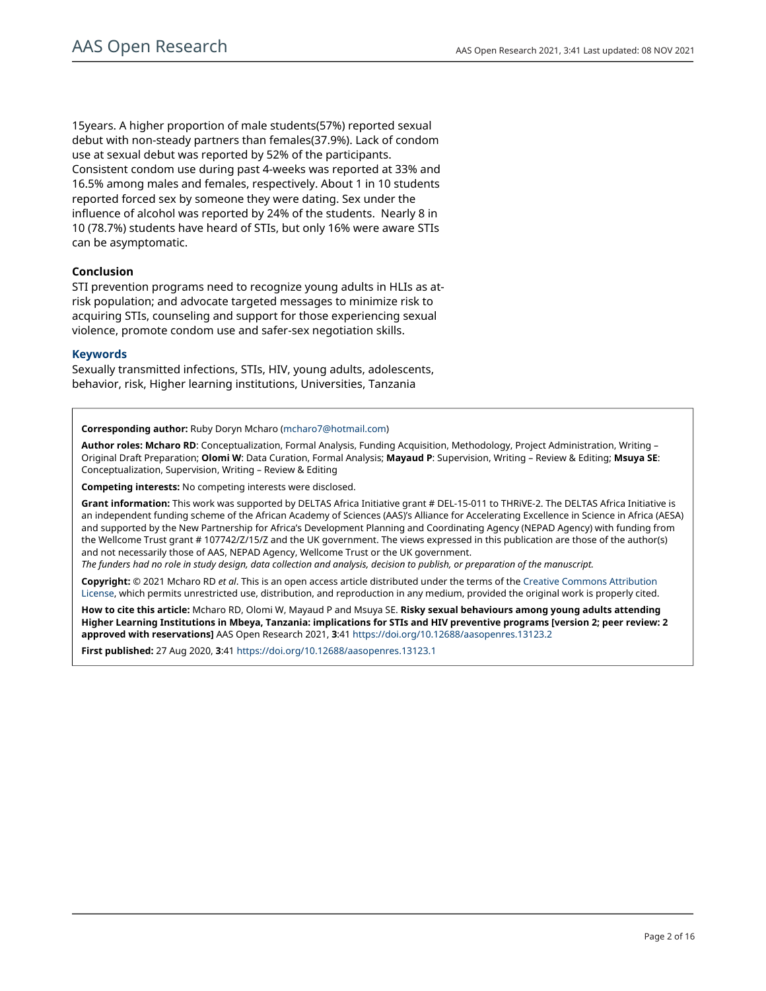15years. A higher proportion of male students(57%) reported sexual debut with non-steady partners than females(37.9%). Lack of condom use at sexual debut was reported by 52% of the participants. Consistent condom use during past 4-weeks was reported at 33% and 16.5% among males and females, respectively. About 1 in 10 students reported forced sex by someone they were dating. Sex under the influence of alcohol was reported by 24% of the students. Nearly 8 in 10 (78.7%) students have heard of STIs, but only 16% were aware STIs can be asymptomatic.

### **Conclusion**

STI prevention programs need to recognize young adults in HLIs as atrisk population; and advocate targeted messages to minimize risk to acquiring STIs, counseling and support for those experiencing sexual violence, promote condom use and safer-sex negotiation skills.

### **Keywords**

Sexually transmitted infections, STIs, HIV, young adults, adolescents, behavior, risk, Higher learning institutions, Universities, Tanzania

**Corresponding author:** Ruby Doryn Mcharo ([mcharo7@hotmail.com\)](mailto:mcharo7@hotmail.com)

**Author roles: Mcharo RD**: Conceptualization, Formal Analysis, Funding Acquisition, Methodology, Project Administration, Writing – Original Draft Preparation; **Olomi W**: Data Curation, Formal Analysis; **Mayaud P**: Supervision, Writing – Review & Editing; **Msuya SE**: Conceptualization, Supervision, Writing – Review & Editing

**Competing interests:** No competing interests were disclosed.

**Grant information:** This work was supported by DELTAS Africa Initiative grant # DEL-15-011 to THRiVE-2. The DELTAS Africa Initiative is an independent funding scheme of the African Academy of Sciences (AAS)'s Alliance for Accelerating Excellence in Science in Africa (AESA) and supported by the New Partnership for Africa's Development Planning and Coordinating Agency (NEPAD Agency) with funding from the Wellcome Trust grant # 107742/Z/15/Z and the UK government. The views expressed in this publication are those of the author(s) and not necessarily those of AAS, NEPAD Agency, Wellcome Trust or the UK government.

*The funders had no role in study design, data collection and analysis, decision to publish, or preparation of the manuscript.*

**Copyright:** © 2021 Mcharo RD *et al*. This is an open access article distributed under the terms of the [Creative Commons Attribution](http://creativecommons.org/licenses/by/4.0/) [License](http://creativecommons.org/licenses/by/4.0/), which permits unrestricted use, distribution, and reproduction in any medium, provided the original work is properly cited.

**How to cite this article:** Mcharo RD, Olomi W, Mayaud P and Msuya SE. **Risky sexual behaviours among young adults attending Higher Learning Institutions in Mbeya, Tanzania: implications for STIs and HIV preventive programs [version 2; peer review: 2 approved with reservations]** AAS Open Research 2021, **3**:41<https://doi.org/10.12688/aasopenres.13123.2>

**First published:** 27 Aug 2020, **3**:41<https://doi.org/10.12688/aasopenres.13123.1>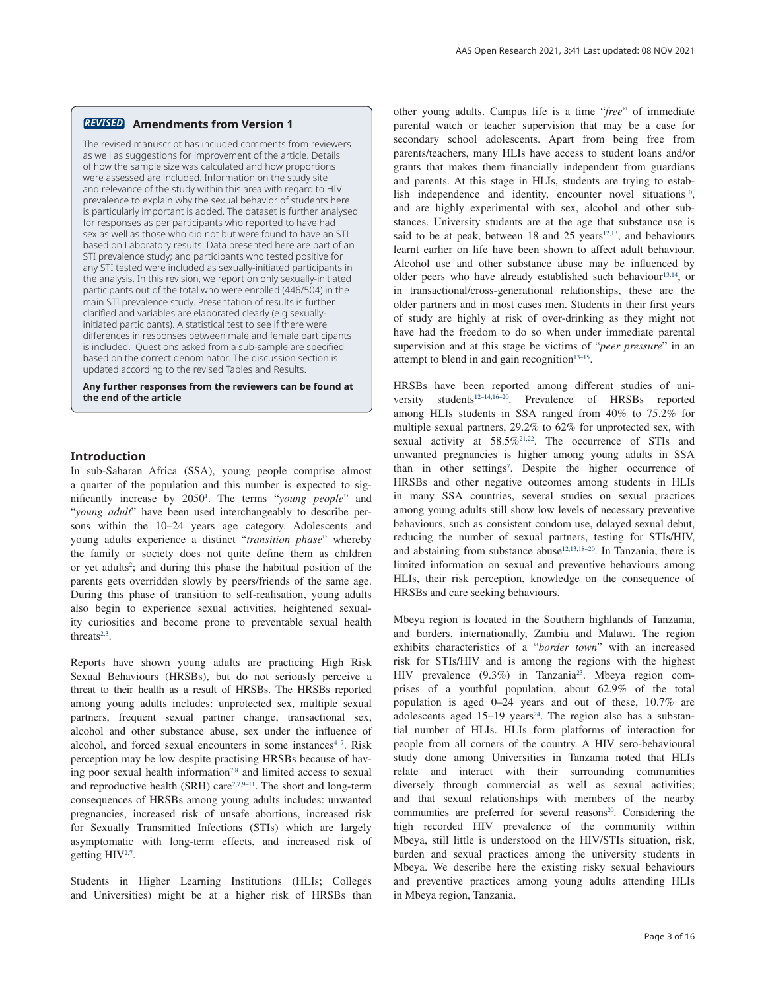#### **Amendments from Version 1** *REVISED*

The revised manuscript has included comments from reviewers as well as suggestions for improvement of the article. Details of how the sample size was calculated and how proportions were assessed are included. Information on the study site and relevance of the study within this area with regard to HIV prevalence to explain why the sexual behavior of students here is particularly important is added. The dataset is further analysed for responses as per participants who reported to have had sex as well as those who did not but were found to have an STI based on Laboratory results. Data presented here are part of an STI prevalence study; and participants who tested positive for any STI tested were included as sexually-initiated participants in the analysis. In this revision, we report on only sexually-initiated participants out of the total who were enrolled (446/504) in the main STI prevalence study. Presentation of results is further clarified and variables are elaborated clearly (e.g sexuallyinitiated participants). A statistical test to see if there were differences in responses between male and female participants is included. Questions asked from a sub-sample are specified based on the correct denominator. The discussion section is updated according to the revised Tables and Results.

**Any further responses from the reviewers can be found at the end of the article**

#### **Introduction**

In sub-Saharan Africa (SSA), young people comprise almost a quarter of the population and this number is expected to significantly increase by 2050[1](#page-11-0) . The terms "*young people*" and "*young adult*" have been used interchangeably to describe persons within the 10–24 years age category. Adolescents and young adults experience a distinct "*transition phase*" whereby the family or society does not quite define them as children or yet adults<sup>2</sup>; and during this phase the habitual position of the parents gets overridden slowly by peers/friends of the same age. During this phase of transition to self-realisation, young adults also begin to experience sexual activities, heightened sexuality curiosities and become prone to preventable sexual health threats $2,3$ .

Reports have shown young adults are practicing High Risk Sexual Behaviours (HRSBs), but do not seriously perceive a threat to their health as a result of HRSBs. The HRSBs reported among young adults includes: unprotected sex, multiple sexual partners, frequent sexual partner change, transactional sex, alcohol and other substance abuse, sex under the influence of alcohol, and forced sexual encounters in some instances<sup>4-7</sup>. Risk perception may be low despite practising HRSBs because of having poor sexual health information<sup>7,8</sup> and limited access to sexual and reproductive health (SRH) care $2,7,9-11$  $2,7,9-11$ . The short and long-term consequences of HRSBs among young adults includes: unwanted pregnancies, increased risk of unsafe abortions, increased risk for Sexually Transmitted Infections (STIs) which are largely asymptomatic with long-term effects, and increased risk of getting HIV<sup>[2,7](#page-11-0)</sup>.

Students in Higher Learning Institutions (HLIs; Colleges and Universities) might be at a higher risk of HRSBs than other young adults. Campus life is a time "*free*" of immediate parental watch or teacher supervision that may be a case for secondary school adolescents. Apart from being free from parents/teachers, many HLIs have access to student loans and/or grants that makes them financially independent from guardians and parents. At this stage in HLIs, students are trying to establish independence and identity, encounter novel situations<sup>10</sup>, and are highly experimental with sex, alcohol and other substances. University students are at the age that substance use is said to be at peak, between  $18$  and  $25$  years<sup>12,13</sup>, and behaviours learnt earlier on life have been shown to affect adult behaviour. Alcohol use and other substance abuse may be influenced by older peers who have already established such behaviour<sup>13,14</sup>, or in transactional/cross-generational relationships, these are the older partners and in most cases men. Students in their first years of study are highly at risk of over-drinking as they might not have had the freedom to do so when under immediate parental supervision and at this stage be victims of "*peer pressure*" in an attempt to blend in and gain recognition $13-15$ .

HRSBs have been reported among different studies of university students<sup>12-14,16-20</sup>. Prevalence of HRSBs reported among HLIs students in SSA ranged from 40% to 75.2% for multiple sexual partners, 29.2% to 62% for unprotected sex, with sexual activity at 58.5%<sup>21,22</sup>. The occurrence of STIs and unwanted pregnancies is higher among young adults in SSA than in other settings<sup>7</sup>. Despite the higher occurrence of HRSBs and other negative outcomes among students in HLIs in many SSA countries, several studies on sexual practices among young adults still show low levels of necessary preventive behaviours, such as consistent condom use, delayed sexual debut, reducing the number of sexual partners, testing for STIs/HIV, and abstaining from substance abuse<sup>12,13,18–20</sup>. In Tanzania, there is limited information on sexual and preventive behaviours among HLIs, their risk perception, knowledge on the consequence of HRSBs and care seeking behaviours.

Mbeya region is located in the Southern highlands of Tanzania, and borders, internationally, Zambia and Malawi. The region exhibits characteristics of a "*border town*" with an increased risk for STIs/HIV and is among the regions with the highest HIV prevalence (9.3%) in Tanzania[23](#page-11-0). Mbeya region comprises of a youthful population, about 62.9% of the total population is aged 0–24 years and out of these, 10.7% are adolescents aged  $15-19$  years<sup>24</sup>. The region also has a substantial number of HLIs. HLIs form platforms of interaction for people from all corners of the country. A HIV sero-behavioural study done among Universities in Tanzania noted that HLIs relate and interact with their surrounding communities diversely through commercial as well as sexual activities; and that sexual relationships with members of the nearby communities are preferred for several reasons<sup>20</sup>. Considering the high recorded HIV prevalence of the community within Mbeya, still little is understood on the HIV/STIs situation, risk, burden and sexual practices among the university students in Mbeya. We describe here the existing risky sexual behaviours and preventive practices among young adults attending HLIs in Mbeya region, Tanzania.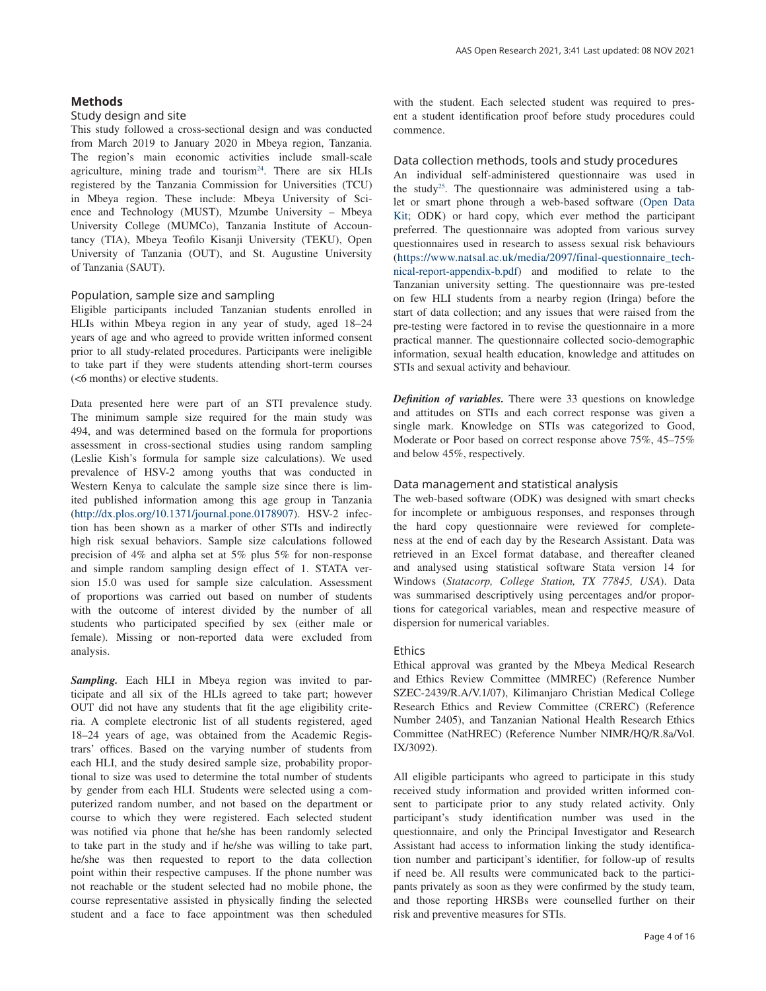#### **Methods**

#### Study design and site

This study followed a cross-sectional design and was conducted from March 2019 to January 2020 in Mbeya region, Tanzania. The region's main economic activities include small-scale agriculture, mining trade and tourism<sup>24</sup>. There are six HLIs registered by the Tanzania Commission for Universities (TCU) in Mbeya region. These include: Mbeya University of Science and Technology (MUST), Mzumbe University – Mbeya University College (MUMCo), Tanzania Institute of Accountancy (TIA), Mbeya Teofilo Kisanji University (TEKU), Open University of Tanzania (OUT), and St. Augustine University of Tanzania (SAUT).

### Population, sample size and sampling

Eligible participants included Tanzanian students enrolled in HLIs within Mbeya region in any year of study, aged 18–24 years of age and who agreed to provide written informed consent prior to all study-related procedures. Participants were ineligible to take part if they were students attending short-term courses (<6 months) or elective students.

Data presented here were part of an STI prevalence study. The minimum sample size required for the main study was 494, and was determined based on the formula for proportions assessment in cross-sectional studies using random sampling (Leslie Kish's formula for sample size calculations). We used prevalence of HSV-2 among youths that was conducted in Western Kenya to calculate the sample size since there is limited published information among this age group in Tanzania ([http://dx.plos.org/10.1371/journal.pone.0178907\)](http://dx.plos.org/10.1371/journal.pone.0178907). HSV-2 infection has been shown as a marker of other STIs and indirectly high risk sexual behaviors. Sample size calculations followed precision of 4% and alpha set at 5% plus 5% for non-response and simple random sampling design effect of 1. STATA version 15.0 was used for sample size calculation. Assessment of proportions was carried out based on number of students with the outcome of interest divided by the number of all students who participated specified by sex (either male or female). Missing or non-reported data were excluded from analysis.

*Sampling.* Each HLI in Mbeya region was invited to participate and all six of the HLIs agreed to take part; however OUT did not have any students that fit the age eligibility criteria. A complete electronic list of all students registered, aged 18–24 years of age, was obtained from the Academic Registrars' offices. Based on the varying number of students from each HLI, and the study desired sample size, probability proportional to size was used to determine the total number of students by gender from each HLI. Students were selected using a computerized random number, and not based on the department or course to which they were registered. Each selected student was notified via phone that he/she has been randomly selected to take part in the study and if he/she was willing to take part, he/she was then requested to report to the data collection point within their respective campuses. If the phone number was not reachable or the student selected had no mobile phone, the course representative assisted in physically finding the selected student and a face to face appointment was then scheduled

with the student. Each selected student was required to present a student identification proof before study procedures could commence.

#### Data collection methods, tools and study procedures

An individual self-administered questionnaire was used in the stud[y25.](#page-11-0) The questionnaire was administered using a tablet or smart phone through a web-based software [\(Open Data](https://getodk.org/)  [Kit](https://getodk.org/); ODK) or hard copy, which ever method the participant preferred. The questionnaire was adopted from various survey questionnaires used in research to assess sexual risk behaviours ([https://www.natsal.ac.uk/media/2097/final-questionnaire\\_tech](https://www.natsal.ac.uk/media/2097/final-questionnaire_technical-report-appendix-b.pdf)[nical-report-appendix-b.pdf](https://www.natsal.ac.uk/media/2097/final-questionnaire_technical-report-appendix-b.pdf)) and modified to relate to the Tanzanian university setting. The questionnaire was pre-tested on few HLI students from a nearby region (Iringa) before the start of data collection; and any issues that were raised from the pre-testing were factored in to revise the questionnaire in a more practical manner. The questionnaire collected socio-demographic information, sexual health education, knowledge and attitudes on STIs and sexual activity and behaviour.

*Definition of variables.* There were 33 questions on knowledge and attitudes on STIs and each correct response was given a single mark. Knowledge on STIs was categorized to Good, Moderate or Poor based on correct response above 75%, 45–75% and below 45%, respectively.

#### Data management and statistical analysis

The web-based software (ODK) was designed with smart checks for incomplete or ambiguous responses, and responses through the hard copy questionnaire were reviewed for completeness at the end of each day by the Research Assistant. Data was retrieved in an Excel format database, and thereafter cleaned and analysed using statistical software Stata version 14 for Windows (*Statacorp, College Station, TX 77845, USA*). Data was summarised descriptively using percentages and/or proportions for categorical variables, mean and respective measure of dispersion for numerical variables.

#### Ethics

Ethical approval was granted by the Mbeya Medical Research and Ethics Review Committee (MMREC) (Reference Number SZEC-2439/R.A/V.1/07), Kilimanjaro Christian Medical College Research Ethics and Review Committee (CRERC) (Reference Number 2405), and Tanzanian National Health Research Ethics Committee (NatHREC) (Reference Number NIMR/HQ/R.8a/Vol. IX/3092).

All eligible participants who agreed to participate in this study received study information and provided written informed consent to participate prior to any study related activity. Only participant's study identification number was used in the questionnaire, and only the Principal Investigator and Research Assistant had access to information linking the study identification number and participant's identifier, for follow-up of results if need be. All results were communicated back to the participants privately as soon as they were confirmed by the study team, and those reporting HRSBs were counselled further on their risk and preventive measures for STIs.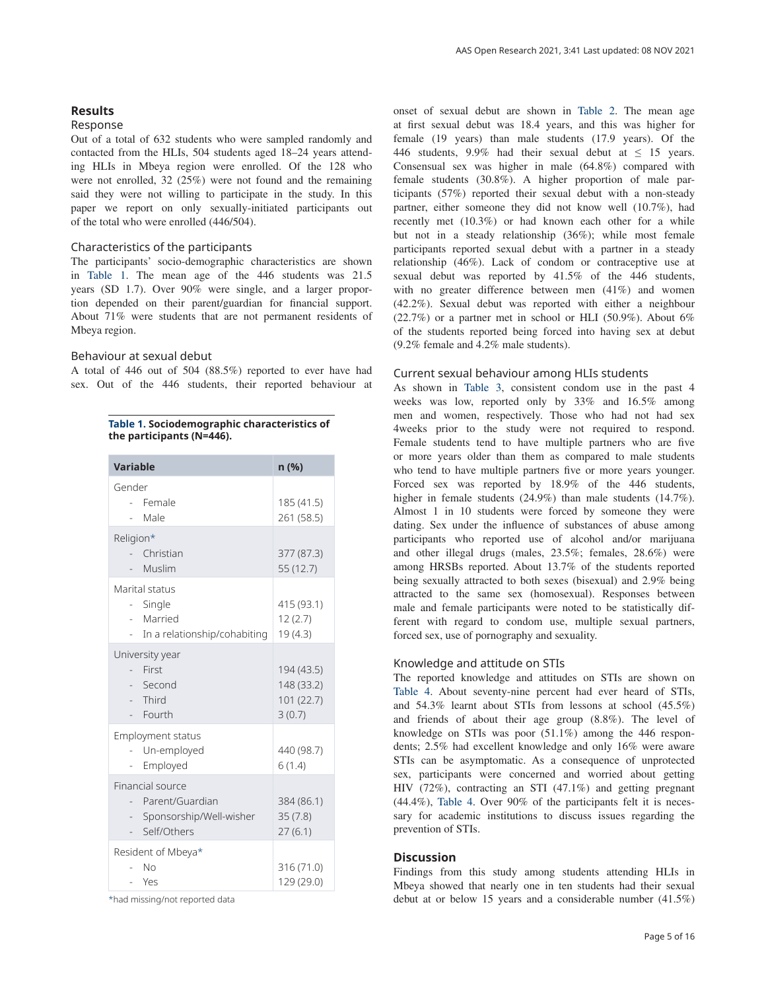#### **Results**

#### Response

Out of a total of 632 students who were sampled randomly and contacted from the HLIs, 504 students aged 18–24 years attending HLIs in Mbeya region were enrolled. Of the 128 who were not enrolled, 32 (25%) were not found and the remaining said they were not willing to participate in the study. In this paper we report on only sexually-initiated participants out of the total who were enrolled (446/504).

#### Characteristics of the participants

The participants' socio-demographic characteristics are shown in Table 1. The mean age of the 446 students was 21.5 years (SD 1.7). Over 90% were single, and a larger proportion depended on their parent/guardian for financial support. About 71% were students that are not permanent residents of Mbeya region.

#### Behaviour at sexual debut

A total of 446 out of 504 (88.5%) reported to ever have had sex. Out of the 446 students, their reported behaviour at

|  | Table 1. Sociodemographic characteristics of |  |
|--|----------------------------------------------|--|
|  | the participants (N=446).                    |  |

| <b>Variable</b>                                                                                           | n (%)                                            |
|-----------------------------------------------------------------------------------------------------------|--------------------------------------------------|
| Gender<br>Female<br>$\mathbf{r}$<br>Male                                                                  | 185 (41.5)<br>261 (58.5)                         |
| Religion*<br>Christian<br>Muslim                                                                          | 377 (87.3)<br>55(12.7)                           |
| Marital status<br>- Single<br>- Married<br>In a relationship/cohabiting                                   | 415 (93.1)<br>12(2.7)<br>19(4.3)                 |
| University year<br>First<br>Second<br>- Third<br>Fourth                                                   | 194 (43.5)<br>148 (33.2)<br>101 (22.7)<br>3(0.7) |
| <b>Employment status</b><br>Un-employed<br>Employed                                                       | 440 (98.7)<br>6(1.4)                             |
| Financial source<br>Parent/Guardian<br>Sponsorship/Well-wisher<br>$\sim$<br>Self/Others<br>$\overline{a}$ | 384 (86.1)<br>35(7.8)<br>27(6.1)                 |
| Resident of Mbeya*<br>N <sub>0</sub><br>- Yes                                                             | 316 (71.0)<br>129 (29.0)                         |

\*had missing/not reported data

onset of sexual debut are shown in [Table 2.](#page-5-0) The mean age at first sexual debut was 18.4 years, and this was higher for female (19 years) than male students (17.9 years). Of the 446 students, 9.9% had their sexual debut at  $\leq$  15 years. Consensual sex was higher in male (64.8%) compared with female students (30.8%). A higher proportion of male participants (57%) reported their sexual debut with a non-steady partner, either someone they did not know well (10.7%), had recently met (10.3%) or had known each other for a while but not in a steady relationship (36%); while most female participants reported sexual debut with a partner in a steady relationship (46%). Lack of condom or contraceptive use at sexual debut was reported by 41.5% of the 446 students, with no greater difference between men (41%) and women (42.2%). Sexual debut was reported with either a neighbour (22.7%) or a partner met in school or HLI (50.9%). About  $6\%$ of the students reported being forced into having sex at debut (9.2% female and 4.2% male students).

#### Current sexual behaviour among HLIs students

As shown in [Table 3,](#page-6-0) consistent condom use in the past 4 weeks was low, reported only by 33% and 16.5% among men and women, respectively. Those who had not had sex 4weeks prior to the study were not required to respond. Female students tend to have multiple partners who are five or more years older than them as compared to male students who tend to have multiple partners five or more years younger. Forced sex was reported by 18.9% of the 446 students, higher in female students (24.9%) than male students (14.7%). Almost 1 in 10 students were forced by someone they were dating. Sex under the influence of substances of abuse among participants who reported use of alcohol and/or marijuana and other illegal drugs (males, 23.5%; females, 28.6%) were among HRSBs reported. About 13.7% of the students reported being sexually attracted to both sexes (bisexual) and 2.9% being attracted to the same sex (homosexual). Responses between male and female participants were noted to be statistically different with regard to condom use, multiple sexual partners, forced sex, use of pornography and sexuality.

#### Knowledge and attitude on STIs

The reported knowledge and attitudes on STIs are shown on [Table 4.](#page-7-0) About seventy-nine percent had ever heard of STIs, and 54.3% learnt about STIs from lessons at school (45.5%) and friends of about their age group (8.8%). The level of knowledge on STIs was poor (51.1%) among the 446 respondents; 2.5% had excellent knowledge and only 16% were aware STIs can be asymptomatic. As a consequence of unprotected sex, participants were concerned and worried about getting HIV (72%), contracting an STI (47.1%) and getting pregnant (44.4%), [Table 4.](#page-7-0) Over 90% of the participants felt it is necessary for academic institutions to discuss issues regarding the prevention of STIs.

#### **Discussion**

Findings from this study among students attending HLIs in Mbeya showed that nearly one in ten students had their sexual debut at or below 15 years and a considerable number (41.5%)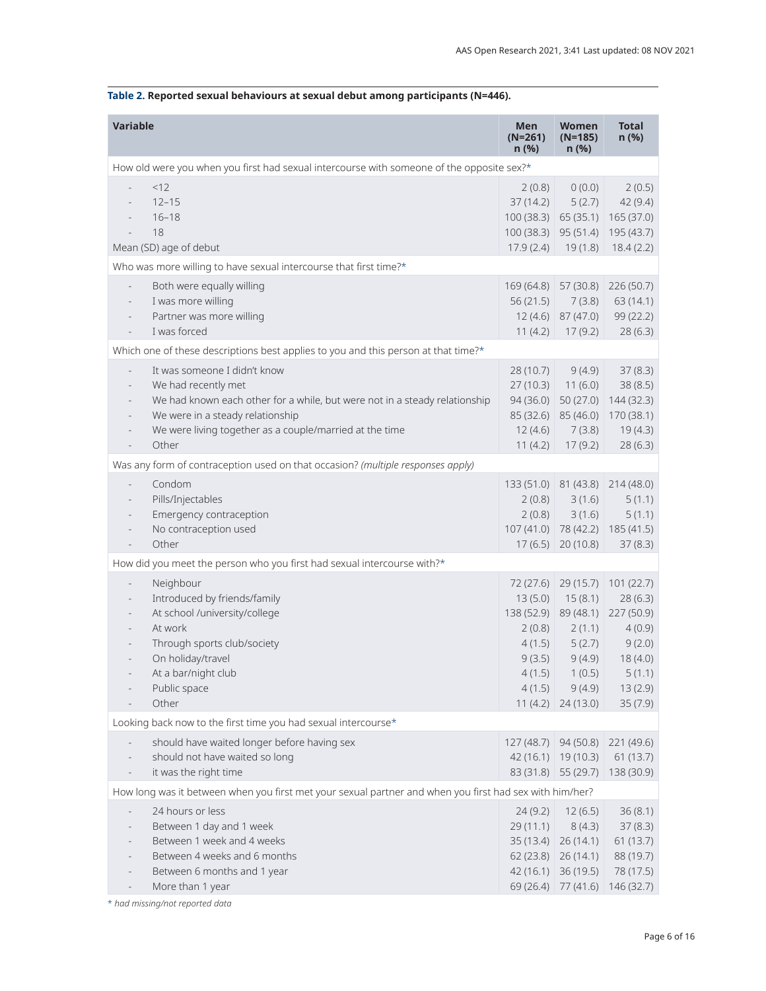#### **Variable Men (N=261) n (%) Women (N=185) n (%) Total n (%)** How old were you when you first had sexual intercourse with someone of the opposite sex?\*  $< 12$  - 12–15 - 16–18 - 18 Mean (SD) age of debut 2 (0.8) 37 (14.2) 100 (38.3) 65 (35.1) 165 (37.0) 100 (38.3) 95 (51.4) 195 (43.7) 17.9 (2.4) 19 (1.8) 18.4 (2.2) 0 (0.0) 5 (2.7) 2 (0.5) 42 (9.4) Who was more willing to have sexual intercourse that first time?\* Both were equally willing I was more willing Partner was more willing I was forced 169 (64.8) 57 (30.8) 226 (50.7) 56 (21.5) 12 (4.6) 87 (47.0) 11 (4.2) 17 (9.2) 7 (3.8) 63 (14.1) 99 (22.2) 28 (6.3) Which one of these descriptions best applies to you and this person at that time?\* It was someone I didn't know We had recently met We had known each other for a while, but were not in a steady relationship We were in a steady relationship We were living together as a couple/married at the time **Other** 28 (10.7) 27 (10.3) 11 (6.0) 94 (36.0) 50 (27.0) 144 (32.3) 85 (32.6) 85 (46.0) 170 (38.1) 12 (4.6) 11 (4.2) 17 (9.2) 9 (4.9) 7 (3.8) 37 (8.3) 38 (8.5) 19 (4.3) 28 (6.3) Was any form of contraception used on that occasion? *(multiple responses apply)* - Condom - Pills/Injectables Emergency contraception No contraception used - Other 133 (51.0) 81 (43.8) 214 (48.0) 2 (0.8) 2 (0.8) 107 (41.0) 78 (42.2) 185 (41.5) 17 (6.5) 20 (10.8) 3 (1.6) 3 (1.6) 5 (1.1) 5 (1.1) 37 (8.3) How did you meet the person who you first had sexual intercourse with?\* **Neighbour** Introduced by friends/family At school /university/college At work Through sports club/society - On holiday/travel At a bar/night club - Public space - Other 72 (27.6) 29 (15.7) 101 (22.7) 13 (5.0) 15 (8.1) 138 (52.9) 89 (48.1) 227 (50.9) 2 (0.8) 4 (1.5) 9 (3.5) 4 (1.5) 4 (1.5) 11 (4.2) 24 (13.0) 2 (1.1) 5 (2.7) 9 (4.9) 1 (0.5) 9 (4.9) 28 (6.3) 4 (0.9) 9 (2.0) 18 (4.0) 5 (1.1) 13 (2.9) 35 (7.9) Looking back now to the first time you had sexual intercourse\* should have waited longer before having sex should not have waited so long it was the right time 127 (48.7) 94 (50.8) 221 (49.6) 42 (16.1) 19 (10.3) 61 (13.7) 83 (31.8) 55 (29.7) 138 (30.9) How long was it between when you first met your sexual partner and when you first had sex with him/her? 24 hours or less Between 1 day and 1 week - Between 1 week and 4 weeks - Between 4 weeks and 6 months Between 6 months and 1 year More than 1 year 24 (9.2) 12 (6.5) 29 (11.1) 35 (13.4) 26 (14.1) 61 (13.7) 62 (23.8) 26 (14.1) 42 (16.1) 36 (19.5) 69 (26.4) 77 (41.6) 146 (32.7) 8 (4.3) 36 (8.1) 37 (8.3) 88 (19.7) 78 (17.5)

<span id="page-5-0"></span>**Table 2. Reported sexual behaviours at sexual debut among participants (N=446).**

\* *had missing/not reported data*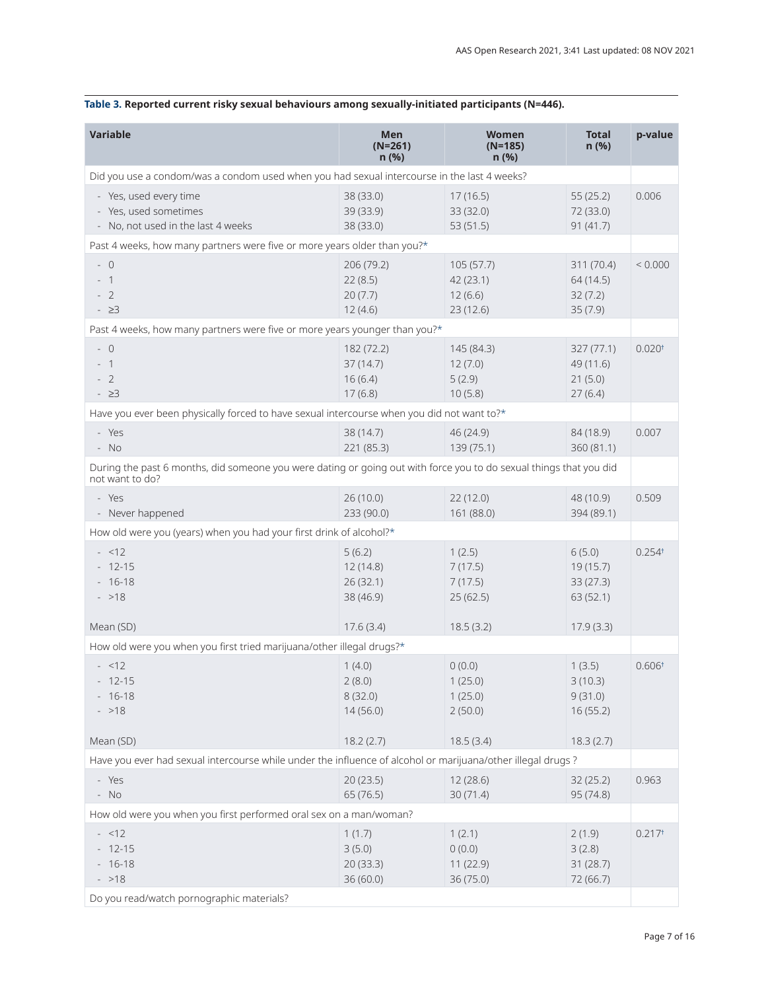| <b>Variable</b>                                                                                                                       | <b>Men</b><br>$(N=261)$<br>n(%)              | <b>Women</b><br>$(N=185)$<br>n(%)              | <b>Total</b><br>n(%)                          | p-value              |
|---------------------------------------------------------------------------------------------------------------------------------------|----------------------------------------------|------------------------------------------------|-----------------------------------------------|----------------------|
| Did you use a condom/was a condom used when you had sexual intercourse in the last 4 weeks?                                           |                                              |                                                |                                               |                      |
| - Yes, used every time<br>- Yes, used sometimes<br>- No, not used in the last 4 weeks                                                 | 38 (33.0)<br>39 (33.9)<br>38 (33.0)          | 17(16.5)<br>33 (32.0)<br>53 (51.5)             | 55(25.2)<br>72 (33.0)<br>91(41.7)             | 0.006                |
| Past 4 weeks, how many partners were five or more years older than you?*                                                              |                                              |                                                |                                               |                      |
| $-0$<br>$-1$<br>$-2$<br>$-23$                                                                                                         | 206 (79.2)<br>22(8.5)<br>20(7.7)<br>12(4.6)  | 105(57.7)<br>42 (23.1)<br>12(6.6)<br>23 (12.6) | 311 (70.4)<br>64 (14.5)<br>32(7.2)<br>35(7.9) | < 0.000              |
| Past 4 weeks, how many partners were five or more years younger than you?*                                                            |                                              |                                                |                                               |                      |
| $-0$<br>$-1$<br>$-2$<br>$-23$                                                                                                         | 182 (72.2)<br>37(14.7)<br>16(6.4)<br>17(6.8) | 145 (84.3)<br>12(7.0)<br>5(2.9)<br>10(5.8)     | 327 (77.1)<br>49 (11.6)<br>21(5.0)<br>27(6.4) | 0.020 <sup>†</sup>   |
| Have you ever been physically forced to have sexual intercourse when you did not want to?*                                            |                                              |                                                |                                               |                      |
| - Yes<br>$- NO$                                                                                                                       | 38 (14.7)<br>221 (85.3)                      | 46 (24.9)<br>139 (75.1)                        | 84 (18.9)<br>360 (81.1)                       | 0.007                |
| During the past 6 months, did someone you were dating or going out with force you to do sexual things that you did<br>not want to do? |                                              |                                                |                                               |                      |
| - Yes<br>- Never happened                                                                                                             | 26(10.0)<br>233 (90.0)                       | 22(12.0)<br>161 (88.0)                         | 48 (10.9)<br>394 (89.1)                       | 0.509                |
| How old were you (years) when you had your first drink of alcohol?*                                                                   |                                              |                                                |                                               |                      |
| $- < 12$<br>$-12-15$<br>$-16-18$<br>$- >18$                                                                                           | 5(6.2)<br>12(14.8)<br>26(32.1)<br>38 (46.9)  | 1(2.5)<br>7(17.5)<br>7(17.5)<br>25(62.5)       | 6(5.0)<br>19 (15.7)<br>33(27.3)<br>63 (52.1)  | $0.254$ <sup>t</sup> |
| Mean (SD)                                                                                                                             | 17.6(3.4)                                    | 18.5(3.2)                                      | 17.9(3.3)                                     |                      |
| How old were you when you first tried marijuana/other illegal drugs?*                                                                 |                                              |                                                |                                               |                      |
| $- < 12$<br>$-12-15$<br>$-16-18$<br>$- >18$                                                                                           | 1(4.0)<br>2(8.0)<br>8(32.0)<br>14(56.0)      | 0(0.0)<br>1(25.0)<br>1(25.0)<br>2(50.0)        | 1(3.5)<br>3(10.3)<br>9(31.0)<br>16(55.2)      | 0.606 <sup>†</sup>   |
| Mean (SD)                                                                                                                             | 18.2(2.7)                                    | 18.5(3.4)                                      | 18.3(2.7)                                     |                      |
| Have you ever had sexual intercourse while under the influence of alcohol or marijuana/other illegal drugs ?                          |                                              |                                                |                                               |                      |
| - Yes<br>$- NO$                                                                                                                       | 20(23.5)<br>65 (76.5)                        | 12 (28.6)<br>30(71.4)                          | 32(25.2)<br>95 (74.8)                         | 0.963                |
| How old were you when you first performed oral sex on a man/woman?                                                                    |                                              |                                                |                                               |                      |
| $- < 12$<br>$-12-15$<br>$-16-18$<br>$- > 18$<br>Do you read/watch pornographic materials?                                             | 1(1.7)<br>3(5.0)<br>20(33.3)<br>36(60.0)     | 1(2.1)<br>0(0.0)<br>11 (22.9)<br>36 (75.0)     | 2(1.9)<br>3(2.8)<br>31 (28.7)<br>72 (66.7)    | 0.217 <sup>†</sup>   |

# <span id="page-6-0"></span>**Table 3. Reported current risky sexual behaviours among sexually-initiated participants (N=446).**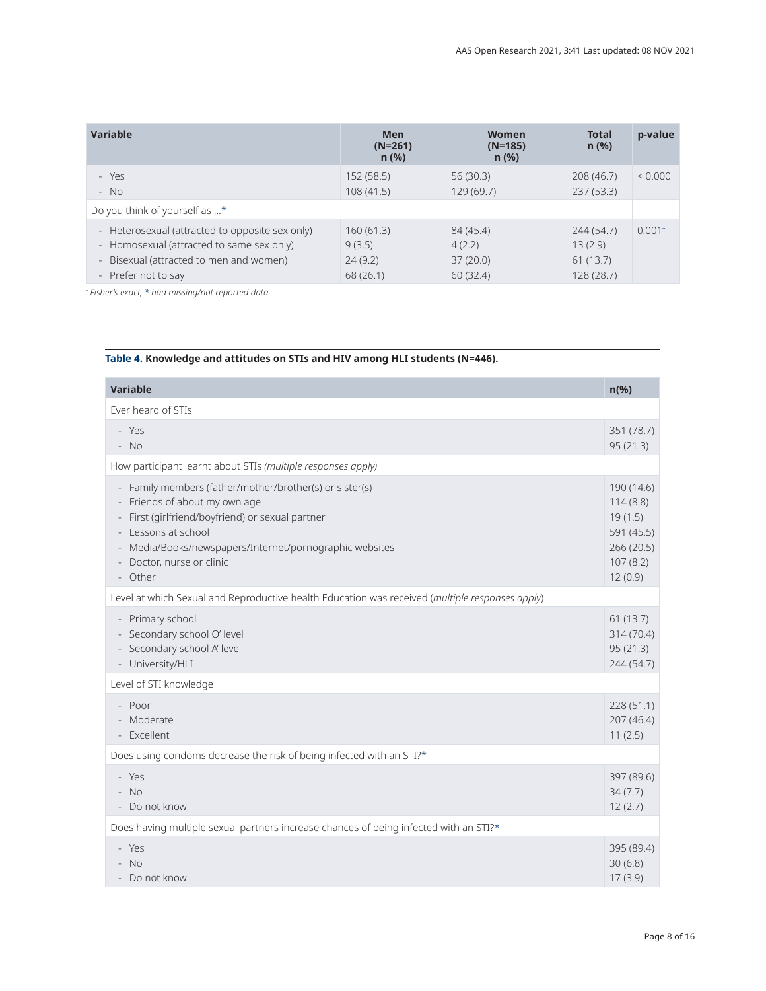<span id="page-7-0"></span>

| <b>Variable</b>                                 | <b>Men</b><br>$(N=261)$<br>$n$ (%) | Women<br>$(N=185)$<br>$n$ (%) | <b>Total</b><br>$n$ (%) | p-value              |
|-------------------------------------------------|------------------------------------|-------------------------------|-------------------------|----------------------|
| - Yes                                           | 152 (58.5)                         | 56(30.3)                      | 208 (46.7)              | ${}< 0.000$          |
| $- NO$                                          | 108(41.5)                          | 129(69.7)                     | 237(53.3)               |                      |
| Do you think of yourself as *                   |                                    |                               |                         |                      |
| - Heterosexual (attracted to opposite sex only) | 160(61.3)                          | 84 (45.4)                     | 244 (54.7)              | $0.001$ <sup>+</sup> |
| - Homosexual (attracted to same sex only)       | 9(3.5)                             | 4(2.2)                        | 13(2.9)                 |                      |
| - Bisexual (attracted to men and women)         | 24(9.2)                            | 37(20.0)                      | 61(13.7)                |                      |
| - Prefer not to say                             | 68(26.1)                           | 60(32.4)                      | 128 (28.7)              |                      |

† *Fisher's exact, \* had missing/not reported data*

# **Table 4. Knowledge and attitudes on STIs and HIV among HLI students (N=446).**

| <b>Variable</b>                                                                                                                                                                                                                                                      | $n(\%)$                                                                              |
|----------------------------------------------------------------------------------------------------------------------------------------------------------------------------------------------------------------------------------------------------------------------|--------------------------------------------------------------------------------------|
| Ever heard of STIs                                                                                                                                                                                                                                                   |                                                                                      |
| - Yes<br>$- NO$                                                                                                                                                                                                                                                      | 351 (78.7)<br>95(21.3)                                                               |
| How participant learnt about STIs (multiple responses apply)                                                                                                                                                                                                         |                                                                                      |
| - Family members (father/mother/brother(s) or sister(s)<br>Friends of about my own age<br>- First (girlfriend/boyfriend) or sexual partner<br>- Lessons at school<br>- Media/Books/newspapers/Internet/pornographic websites<br>- Doctor, nurse or clinic<br>- Other | 190 (14.6)<br>114(8.8)<br>19(1.5)<br>591 (45.5)<br>266 (20.5)<br>107(8.2)<br>12(0.9) |
| Level at which Sexual and Reproductive health Education was received (multiple responses apply)                                                                                                                                                                      |                                                                                      |
| - Primary school<br>- Secondary school O' level<br>- Secondary school A' level<br>- University/HLI                                                                                                                                                                   | 61(13.7)<br>314(70.4)<br>95(21.3)<br>244 (54.7)                                      |
| Level of STI knowledge                                                                                                                                                                                                                                               |                                                                                      |
| - Poor<br>- Moderate<br>- Excellent                                                                                                                                                                                                                                  | 228(51.1)<br>207 (46.4)<br>11(2.5)                                                   |
| Does using condoms decrease the risk of being infected with an STI?*                                                                                                                                                                                                 |                                                                                      |
| - Yes<br>$- NO$<br>- Do not know                                                                                                                                                                                                                                     | 397 (89.6)<br>34(7.7)<br>12(2.7)                                                     |
| Does having multiple sexual partners increase chances of being infected with an STI?*                                                                                                                                                                                |                                                                                      |
| - Yes<br>$- NO$<br>- Do not know                                                                                                                                                                                                                                     | 395 (89.4)<br>30(6.8)<br>17(3.9)                                                     |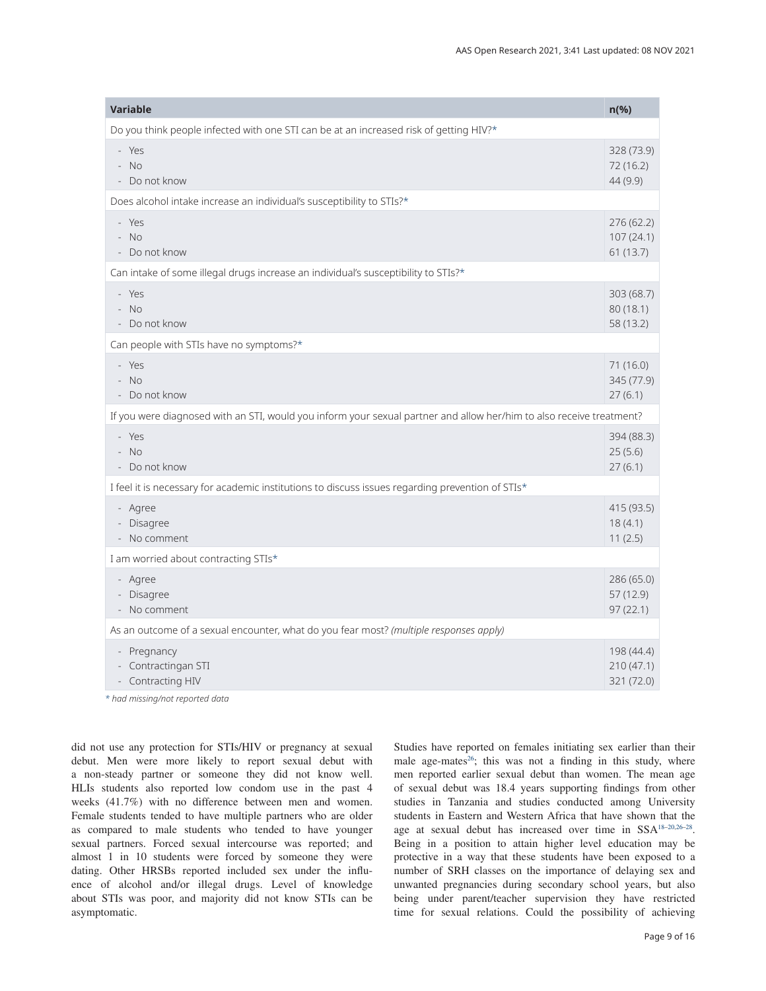<span id="page-8-0"></span>

| <b>Variable</b>                                                                                                      | $n$ (%)                               |  |
|----------------------------------------------------------------------------------------------------------------------|---------------------------------------|--|
| Do you think people infected with one STI can be at an increased risk of getting HIV?*                               |                                       |  |
| - Yes<br>$- NO$<br>- Do not know                                                                                     | 328 (73.9)<br>72 (16.2)<br>44 (9.9)   |  |
| Does alcohol intake increase an individual's susceptibility to STIs?*                                                |                                       |  |
| - Yes<br>$- NO$<br>- Do not know                                                                                     | 276 (62.2)<br>107(24.1)<br>61 (13.7)  |  |
| Can intake of some illegal drugs increase an individual's susceptibility to STIs?*                                   |                                       |  |
| - Yes<br>$- NO$<br>- Do not know                                                                                     | 303 (68.7)<br>80(18.1)<br>58 (13.2)   |  |
| Can people with STIs have no symptoms?*                                                                              |                                       |  |
| - Yes<br>$- NO$<br>- Do not know                                                                                     | 71 (16.0)<br>345 (77.9)<br>27(6.1)    |  |
| If you were diagnosed with an STI, would you inform your sexual partner and allow her/him to also receive treatment? |                                       |  |
| - Yes<br>$- NO$<br>- Do not know                                                                                     | 394 (88.3)<br>25(5.6)<br>27(6.1)      |  |
| I feel it is necessary for academic institutions to discuss issues regarding prevention of STIs*                     |                                       |  |
| - Agree<br>- Disagree<br>- No comment                                                                                | 415 (93.5)<br>18(4.1)<br>11(2.5)      |  |
| I am worried about contracting STIs*                                                                                 |                                       |  |
| - Agree<br>- Disagree<br>- No comment                                                                                | 286 (65.0)<br>57(12.9)<br>97(22.1)    |  |
| As an outcome of a sexual encounter, what do you fear most? (multiple responses apply)                               |                                       |  |
| - Pregnancy<br>- Contractingan STI<br>- Contracting HIV                                                              | 198 (44.4)<br>210(47.1)<br>321 (72.0) |  |

*\* had missing/not reported data*

did not use any protection for STIs/HIV or pregnancy at sexual debut. Men were more likely to report sexual debut with a non-steady partner or someone they did not know well. HLIs students also reported low condom use in the past 4 weeks (41.7%) with no difference between men and women. Female students tended to have multiple partners who are older as compared to male students who tended to have younger sexual partners. Forced sexual intercourse was reported; and almost 1 in 10 students were forced by someone they were dating. Other HRSBs reported included sex under the influence of alcohol and/or illegal drugs. Level of knowledge about STIs was poor, and majority did not know STIs can be asymptomatic.

Studies have reported on females initiating sex earlier than their male age-mates<sup>[26](#page-11-0)</sup>; this was not a finding in this study, where men reported earlier sexual debut than women. The mean age of sexual debut was 18.4 years supporting findings from other studies in Tanzania and studies conducted among University students in Eastern and Western Africa that have shown that the age at sexual debut has increased over time in SS[A18–20](#page-11-0),[26–28.](#page-11-0) Being in a position to attain higher level education may be protective in a way that these students have been exposed to a number of SRH classes on the importance of delaying sex and unwanted pregnancies during secondary school years, but also being under parent/teacher supervision they have restricted time for sexual relations. Could the possibility of achieving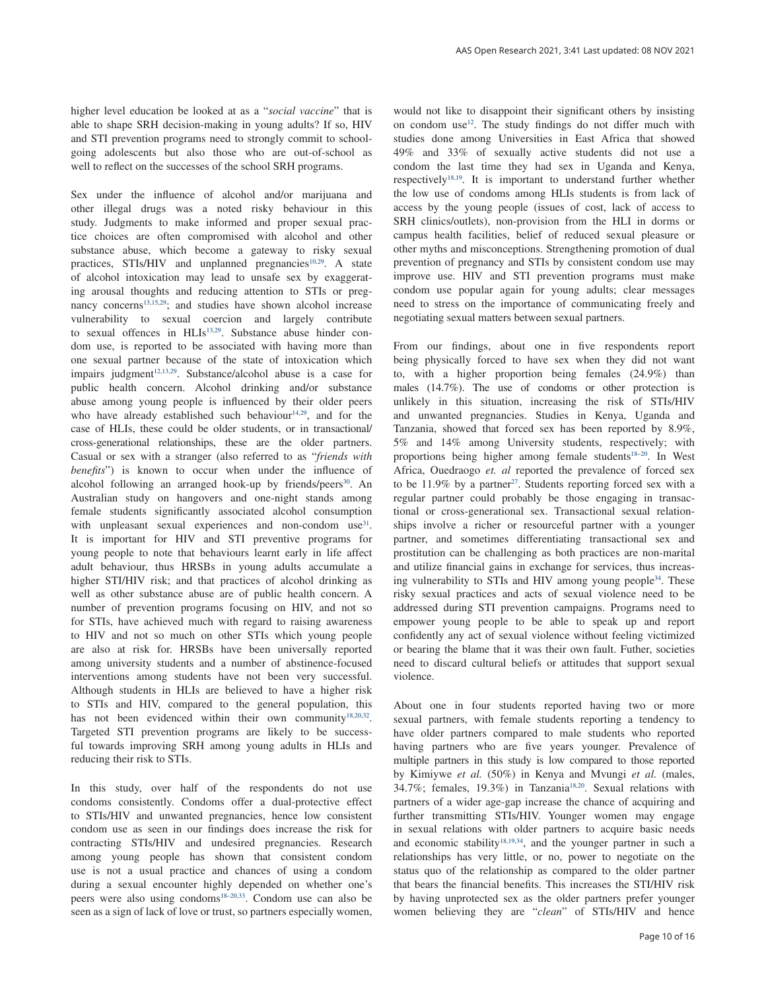higher level education be looked at as a "*social vaccine*" that is able to shape SRH decision-making in young adults? If so, HIV and STI prevention programs need to strongly commit to schoolgoing adolescents but also those who are out-of-school as well to reflect on the successes of the school SRH programs.

Sex under the influence of alcohol and/or marijuana and other illegal drugs was a noted risky behaviour in this study. Judgments to make informed and proper sexual practice choices are often compromised with alcohol and other substance abuse, which become a gateway to risky sexual practices,  $STIs/HIV$  and unplanned pregnancies<sup>10,29</sup>. A state of alcohol intoxication may lead to unsafe sex by exaggerating arousal thoughts and reducing attention to STIs or preg-nancy concerns<sup>[13,15,29](#page-11-0)</sup>; and studies have shown alcohol increase vulnerability to sexual coercion and largely contribute to sexual offences in HLIs<sup>13,29</sup>. Substance abuse hinder condom use, is reported to be associated with having more than one sexual partner because of the state of intoxication which impairs judgment $12,13,29$ . Substance/alcohol abuse is a case for public health concern. Alcohol drinking and/or substance abuse among young people is influenced by their older peers who have already established such behaviour<sup>[14,29](#page-11-0)</sup>, and for the case of HLIs, these could be older students, or in transactional/ cross-generational relationships, these are the older partners. Casual or sex with a stranger (also referred to as "*friends with benefits*") is known to occur when under the influence of alcohol following an arranged hook-up by friends/peers<sup>30</sup>. An Australian study on hangovers and one-night stands among female students significantly associated alcohol consumption with unpleasant sexual experiences and non-condom use<sup>31</sup>. It is important for HIV and STI preventive programs for young people to note that behaviours learnt early in life affect adult behaviour, thus HRSBs in young adults accumulate a higher STI/HIV risk; and that practices of alcohol drinking as well as other substance abuse are of public health concern. A number of prevention programs focusing on HIV, and not so for STIs, have achieved much with regard to raising awareness to HIV and not so much on other STIs which young people are also at risk for. HRSBs have been universally reported among university students and a number of abstinence-focused interventions among students have not been very successful. Although students in HLIs are believed to have a higher risk to STIs and HIV, compared to the general population, this has not been evidenced within their own community<sup>18,20,32</sup>. Targeted STI prevention programs are likely to be successful towards improving SRH among young adults in HLIs and reducing their risk to STIs.

In this study, over half of the respondents do not use condoms consistently. Condoms offer a dual-protective effect to STIs/HIV and unwanted pregnancies, hence low consistent condom use as seen in our findings does increase the risk for contracting STIs/HIV and undesired pregnancies. Research among young people has shown that consistent condom use is not a usual practice and chances of using a condom during a sexual encounter highly depended on whether one's peers were also using condom[s18–20](#page-11-0),[33](#page-11-0). Condom use can also be seen as a sign of lack of love or trust, so partners especially women,

would not like to disappoint their significant others by insisting on condom use<sup>12</sup>. The study findings do not differ much with studies done among Universities in East Africa that showed 49% and 33% of sexually active students did not use a condom the last time they had sex in Uganda and Kenya, respectively[18,19.](#page-11-0) It is important to understand further whether the low use of condoms among HLIs students is from lack of access by the young people (issues of cost, lack of access to SRH clinics/outlets), non-provision from the HLI in dorms or campus health facilities, belief of reduced sexual pleasure or other myths and misconceptions. Strengthening promotion of dual prevention of pregnancy and STIs by consistent condom use may improve use. HIV and STI prevention programs must make condom use popular again for young adults; clear messages need to stress on the importance of communicating freely and negotiating sexual matters between sexual partners.

From our findings, about one in five respondents report being physically forced to have sex when they did not want to, with a higher proportion being females (24.9%) than males (14.7%). The use of condoms or other protection is unlikely in this situation, increasing the risk of STIs/HIV and unwanted pregnancies. Studies in Kenya, Uganda and Tanzania, showed that forced sex has been reported by 8.9%, 5% and 14% among University students, respectively; with proportions being higher among female students<sup>18–20</sup>. In West Africa, Ouedraogo *et. al* reported the prevalence of forced sex to be  $11.9\%$  by a partner<sup>[27](#page-11-0)</sup>. Students reporting forced sex with a regular partner could probably be those engaging in transactional or cross-generational sex. Transactional sexual relationships involve a richer or resourceful partner with a younger partner, and sometimes differentiating transactional sex and prostitution can be challenging as both practices are non-marital and utilize financial gains in exchange for services, thus increasing vulnerability to STIs and HIV among young people<sup>34</sup>. These risky sexual practices and acts of sexual violence need to be addressed during STI prevention campaigns. Programs need to empower young people to be able to speak up and report confidently any act of sexual violence without feeling victimized or bearing the blame that it was their own fault. Futher, societies need to discard cultural beliefs or attitudes that support sexual violence.

About one in four students reported having two or more sexual partners, with female students reporting a tendency to have older partners compared to male students who reported having partners who are five years younger. Prevalence of multiple partners in this study is low compared to those reported by Kimiywe *et al.* (50%) in Kenya and Mvungi *et al.* (males, 34.7%; females, 19.3%) in Tanzania<sup>[18,20](#page-11-0)</sup>. Sexual relations with partners of a wider age-gap increase the chance of acquiring and further transmitting STIs/HIV. Younger women may engage in sexual relations with older partners to acquire basic needs and economic stability<sup>[18,19,34](#page-11-0)</sup>, and the younger partner in such a relationships has very little, or no, power to negotiate on the status quo of the relationship as compared to the older partner that bears the financial benefits. This increases the STI/HIV risk by having unprotected sex as the older partners prefer younger women believing they are "*clean*" of STIs/HIV and hence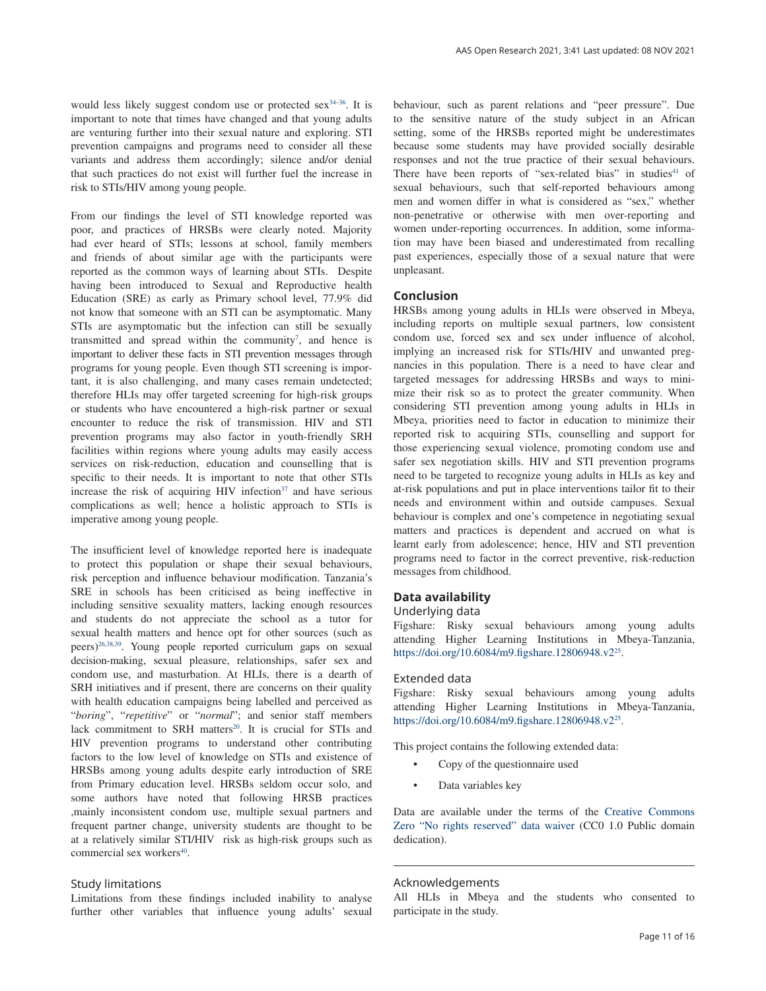would less likely suggest condom use or protected sex $34-36$ . It is important to note that times have changed and that young adults are venturing further into their sexual nature and exploring. STI prevention campaigns and programs need to consider all these variants and address them accordingly; silence and/or denial that such practices do not exist will further fuel the increase in risk to STIs/HIV among young people.

From our findings the level of STI knowledge reported was poor, and practices of HRSBs were clearly noted. Majority had ever heard of STIs; lessons at school, family members and friends of about similar age with the participants were reported as the common ways of learning about STIs. Despite having been introduced to Sexual and Reproductive health Education (SRE) as early as Primary school level, 77.9% did not know that someone with an STI can be asymptomatic. Many STIs are asymptomatic but the infection can still be sexually transmitted and spread within the community<sup>7</sup>, and hence is important to deliver these facts in STI prevention messages through programs for young people. Even though STI screening is important, it is also challenging, and many cases remain undetected; therefore HLIs may offer targeted screening for high-risk groups or students who have encountered a high-risk partner or sexual encounter to reduce the risk of transmission. HIV and STI prevention programs may also factor in youth-friendly SRH facilities within regions where young adults may easily access services on risk-reduction, education and counselling that is specific to their needs. It is important to note that other STIs increase the risk of acquiring HIV infection $37$  and have serious complications as well; hence a holistic approach to STIs is imperative among young people.

The insufficient level of knowledge reported here is inadequate to protect this population or shape their sexual behaviours, risk perception and influence behaviour modification. Tanzania's SRE in schools has been criticised as being ineffective in including sensitive sexuality matters, lacking enough resources and students do not appreciate the school as a tutor for sexual health matters and hence opt for other sources (such as peers)[26,38,39](#page-11-0). Young people reported curriculum gaps on sexual decision-making, sexual pleasure, relationships, safer sex and condom use, and masturbation. At HLIs, there is a dearth of SRH initiatives and if present, there are concerns on their quality with health education campaigns being labelled and perceived as "*boring*", "*repetitive*" or "*normal*"; and senior staff members lack commitment to SRH matters<sup>20</sup>. It is crucial for STIs and HIV prevention programs to understand other contributing factors to the low level of knowledge on STIs and existence of HRSBs among young adults despite early introduction of SRE from Primary education level. HRSBs seldom occur solo, and some authors have noted that following HRSB practices ,mainly inconsistent condom use, multiple sexual partners and frequent partner change, university students are thought to be at a relatively similar STI/HIV risk as high-risk groups such as commercial sex workers<sup>40</sup>.

#### Study limitations

Limitations from these findings included inability to analyse further other variables that influence young adults' sexual behaviour, such as parent relations and "peer pressure". Due to the sensitive nature of the study subject in an African setting, some of the HRSBs reported might be underestimates because some students may have provided socially desirable responses and not the true practice of their sexual behaviours. There have been reports of "sex-related bias" in studies $41$  of sexual behaviours, such that self-reported behaviours among men and women differ in what is considered as "sex," whether non-penetrative or otherwise with men over-reporting and women under-reporting occurrences. In addition, some information may have been biased and underestimated from recalling past experiences, especially those of a sexual nature that were unpleasant.

#### **Conclusion**

HRSBs among young adults in HLIs were observed in Mbeya, including reports on multiple sexual partners, low consistent condom use, forced sex and sex under influence of alcohol, implying an increased risk for STIs/HIV and unwanted pregnancies in this population. There is a need to have clear and targeted messages for addressing HRSBs and ways to minimize their risk so as to protect the greater community. When considering STI prevention among young adults in HLIs in Mbeya, priorities need to factor in education to minimize their reported risk to acquiring STIs, counselling and support for those experiencing sexual violence, promoting condom use and safer sex negotiation skills. HIV and STI prevention programs need to be targeted to recognize young adults in HLIs as key and at-risk populations and put in place interventions tailor fit to their needs and environment within and outside campuses. Sexual behaviour is complex and one's competence in negotiating sexual matters and practices is dependent and accrued on what is learnt early from adolescence; hence, HIV and STI prevention programs need to factor in the correct preventive, risk-reduction messages from childhood.

#### **Data availability**

#### Underlying data

Figshare: Risky sexual behaviours among young adults attending Higher Learning Institutions in Mbeya-Tanzania, <https://doi.org/10.6084/m9.figshare.12806948.v2><sup>[25](#page-11-0)</sup>.

#### Extended data

Figshare: Risky sexual behaviours among young adults attending Higher Learning Institutions in Mbeya-Tanzania, <https://doi.org/10.6084/m9.figshare.12806948.v2><sup>[25](#page-11-0)</sup>.

This project contains the following extended data:

- Copy of the questionnaire used
- Data variables key

Data are available under the terms of the [Creative Commons](http://creativecommons.org/publicdomain/zero/1.0/)  [Zero "No rights reserved" data waiver](http://creativecommons.org/publicdomain/zero/1.0/) (CC0 1.0 Public domain dedication).

#### Acknowledgements

All HLIs in Mbeya and the students who consented to participate in the study.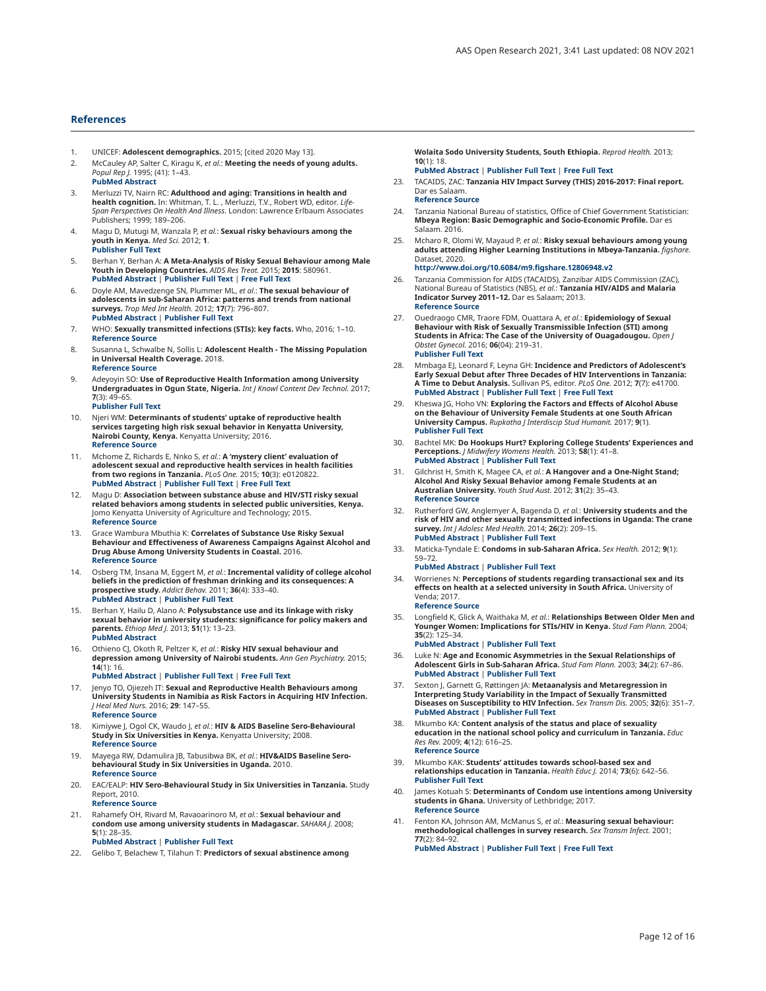#### <span id="page-11-0"></span>**References**

- 1. UNICEF: **Adolescent demographics.** 2015; [cited 2020 May 13].
- 2. McCauley AP, Salter C, Kiragu K, *et al.*: **Meeting the needs of young adults.** *Popul Rep J.* 1995; (41): 1–43. **PubMed [Abstract](http://www.ncbi.nlm.nih.gov/pubmed/8654883)**
- 3. Merluzzi TV, Nairn RC: **Adulthood and aging: Transitions in health and health cognition.** In: Whitman, T. L. , Merluzzi, T.V., Robert WD, editor. *Life-Span Perspectives On Health And Illness*. London: Lawrence Erlbaum Associates Publishers; 1999; 189–206.
- 4. Magu D, Mutugi M, Wanzala P, *et al.*: **Sexual risky behaviours among the youth in Kenya.** *Med Sci.* 2012; **1**. **[Publisher](http://dx.doi.org/10.5455/medscience.2012.01.8019) Full Text**
- 5. Berhan Y, Berhan A: **A Meta-Analysis of Risky Sexual Behaviour among Male Youth in Developing Countries.** *AIDS Res Treat.* 2015; **2015**: 580961. **PubMed [Abstract](http://www.ncbi.nlm.nih.gov/pubmed/25709840)** | **[Publisher](http://dx.doi.org/10.1155/2015/580961) Full Text** | **[Free](http://www.ncbi.nlm.nih.gov/pmc/articles/4325476) Full Text**
- 6. Doyle AM, Mavedzenge SN, Plummer ML, *et al.*: **The sexual behaviour of adolescents in sub-Saharan Africa: patterns and trends from national surveys.** *Trop Med Int Health.* 2012; **17**(7): 796–807. **PubMed [Abstract](http://www.ncbi.nlm.nih.gov/pubmed/22594660)** | **[Publisher](http://dx.doi.org/10.1111/j.1365-3156.2012.03005.x) Full Text**
- 7. WHO: **Sexually transmitted infections (STIs): key facts.** Who, 2016; 1–10. **[Reference](http://www.who.int/mediacentre/factsheets/fs110/en/) Source**
- 8. Susanna L, Schwalbe N, Sollis L: **Adolescent Health - The Missing Population in Universal Health Coverage.** 2018. **[Reference](https://www.who.int/pmnch/media/news/2018/Adolescent-Health-Missing-Population-in-UHC.pdf?ua=1) Source**
- 9. Adeyoyin SO: **Use of Reproductive Health Information among University Undergraduates in Ogun State, Nigeria.** *Int J Knowl Content Dev Technol.* 2017; **7**(3): 49–65. **[Publisher](http://dx.doi.org/10.5865/IJKCT.2017.7.3.049) Full Text**
- 10. Njeri WM: **Determinants of students' uptake of reproductive health services targeting high risk sexual behavior in Kenyatta University, Nairobi County, Kenya.** Kenyatta University; 2016. **[Reference](http://ir-library.ku.ac.ke/bitstream/handle/123456789/15089/Determinants of students%E2%80%99 uptake of reproductive.............pdf?sequence=1&isAllowed=y) Source**
- 11. Mchome Z, Richards E, Nnko S, *et al.*: **A 'mystery client' evaluation of adolescent sexual and reproductive health services in health facilities from two regions in Tanzania.** *PLoS One.* 2015; **10**(3): e0120822. **PubMed [Abstract](http://www.ncbi.nlm.nih.gov/pubmed/25803689)** | **[Publisher](http://dx.doi.org/10.1371/journal.pone.0120822) Full Text** | **[Free](http://www.ncbi.nlm.nih.gov/pmc/articles/4372447) Full Text**
- 12. Magu D: **Association between substance abuse and HIV/STI risky sexual related behaviors among students in selected public universities, Kenya.** Jomo Kenyatta University of Agriculture and Technology; 2015. **[Reference](http://ir.jkuat.ac.ke/bitstream/handle/123456789/1737/Magu%2C Dennis Gichobi %E2%80%93 PhD Epidemiology-2015.pdf?sequence=1&isAllowed=y) Source**
- 13. Grace Wambura Mbuthia K: **Correlates of Substance Use Risky Sexual Behaviour and Effectiveness of Awareness Campaigns Against Alcohol and Drug Abuse Among University Students in Coastal.** 2016. **[Reference](http://ir.jkuat.ac.ke/bitstream/handle/123456789/2362/Mbuthia, Grace Wambura, PhD in Public Health 2016.pdf?sequence=1&isAllowed=y) Source**
- 14. Osberg TM, Insana M, Eggert M, *et al.*: In**cremental validity of college alcohol**<br>**beliefs in the prediction of freshman drinking and its consequences: A prospective study.** *Addict Behav.* 2011; **36**(4): 333–40. **PubMed [Abstract](http://www.ncbi.nlm.nih.gov/pubmed/21196082)** | **[Publisher](http://dx.doi.org/10.1016/j.addbeh.2010.12.004) Full Text**
- 15. Berhan Y, Hailu D, Alano A: **Polysubstance use and its linkage with risky sexual behavior in university students: significance for policy makers and parents.** *Ethiop Med J.* 2013; **51**(1): 13–23. **PubMed [Abstract](http://www.ncbi.nlm.nih.gov/pubmed/23930487)**
- 16. Othieno CJ, Okoth R, Peltzer K, *et al.*: **Risky HIV sexual behaviour and**<br>**depression among University of Nairobi students.** *Ann Gen Psychiatry.* 2015; **14**(1): 16. **PubMed [Abstract](http://www.ncbi.nlm.nih.gov/pubmed/25873984)** | **[Publisher](http://dx.doi.org/10.1186/s12991-015-0054-2) Full Text** | **[Free](http://www.ncbi.nlm.nih.gov/pmc/articles/4396741) Full Text**
- 17. Jenyo TO, Ojiezeh IT: **Sexual and Reproductive Health Behaviours among University Students in Namibia as Risk Factors in Acquiring HIV Infection.** *J Heal Med Nurs.* 2016; **29**: 147–55. **[Reference](https://iiste.org/Journals/index.php/JHMN/article/view/32670) Source**
- 18. Kimiywe J, Ogol CK, Waudo J, *et al.*: **HIV & AIDS Baseline Sero-Behavioural Study in Six Universities in Kenya.** Kenyatta University; 2008. **[Reference](http://ir-library.ku.ac.ke/handle/123456789/11741?show=full) Source**
- 19. Mayega RW, Ddamulira JB, Tabusibwa BK, *et al.*: **HIV&AIDS Baseline Serobehavioural Study in Six Universities in Uganda.** 2010. **[Reference](http://repository.eac.int/handle/11671/687?show=ful) Source**
- 20. EAC/EALP: **HIV Sero-Behavioural Study in Six Universities in Tanzania.** Study Report, 2010. **[Reference](https://core.ac.uk/download/pdf/11307718.pdf) Source**
- 21. Rahamefy OH, Rivard M, Ravaoarinoro M, *et al.*: **Sexual behaviour and condom use among university students in Madagascar.** *SAHARA J.* 2008; **5**(1): 28–35. **PubMed [Abstract](http://www.ncbi.nlm.nih.gov/pubmed/18496617)** | **[Publisher](http://dx.doi.org/10.1080/17290376.2008.9724899) Full Text**
- 22. Gelibo T, Belachew T, Tilahun T: **Predictors of sexual abstinence among**

**Wolaita Sodo University Students, South Ethiopia.** *Reprod Health.* 2013; **10**(1): 18.

- **PubMed [Abstract](http://www.ncbi.nlm.nih.gov/pubmed/23547969)** | **[Publisher](http://dx.doi.org/10.1186/1742-4755-10-18) Full Text** | **[Free](http://www.ncbi.nlm.nih.gov/pmc/articles/3636112) Full Text**
- 23. TACAIDS, ZAC: **Tanzania HIV Impact Survey (THIS) 2016-2017: Final report.** Dar es Salaam. **[Reference](https://www.nbs.go.tz/index.php/en/census-surveys/health-statistics/hiv-and-malaria-survey/382-the-tanzania-hiv-impact-survey-2016-2017-this-final-report) Source**
- 24. Tanzania National Bureau of statistics, Office of Chief Government Statistician: **Mbeya Region: Basic Demographic and Socio-Economic Profile.** Dar es Salaam. 2016.
- 25. Mcharo R, Olomi W, Mayaud P, *et al.*: **Risky sexual behaviours among young adults attending Higher Learning Institutions in Mbeya-Tanzania.** *figshare.* Dataset, 2020. **[http://www.doi.org/10.6084/m9.figshare.12806948.v](http://www.doi.org/10.6084/m9.figshare.12806948.v2)2**
- 26. Tanzania Commission for AIDS (TACAIDS), Zanzibar AIDS Commission (ZAC), National Bureau of Statistics (NBS), *et al.*: **Tanzania HIV/AIDS and Malaria Indicator Survey 2011–12.** Dar es Salaam; 2013. **[Reference](https://dhsprogram.com/pubs/pdf/ais11/ais11.pdf) Source**
- 27. Ouedraogo CMR, Traore FDM, Ouattara A, *et al.*: **Epidemiology of Sexual Behaviour with Risk of Sexually Transmissible Infection (STI) among Students in Africa: The Case of the University of Ouagadougou.** *Open J Obstet Gynecol.* 2016; **06**(04): 219–31. **[Publisher](http://dx.doi.org/10.4236/ojog.2016.64028) Full Text**
- 28. Mmbaga EJ, Leonard F, Leyna GH: **Incidence and Predictors of Adolescent's Early Sexual Debut after Three Decades of HIV Interventions in Tanzania: A Time to Debut Analysis.** Sullivan PS, editor. *PLoS One.* 2012; **7**(7): e41700. **PubMed [Abstract](http://www.ncbi.nlm.nih.gov/pubmed/22848571)** | **[Publisher](http://dx.doi.org/10.1371/journal.pone.0041700) Full Text** | **[Free](http://www.ncbi.nlm.nih.gov/pmc/articles/3407234) Full Text**
- 29. Kheswa JG, Hoho VN: Exploring the Factors and Effects of Alcohol Abuse<br>on the Behaviour of University Female Students at one South African **University Campus.** *Rupkatha J Interdiscip Stud Humanit.* 2017; **9**(1). **[Publisher](http://dx.doi.org/10.21659/rupkatha.v9n1.29) Full Text**
- 30. Bachtel MK: **Do Hookups Hurt? Exploring College Students' Experiences and Perceptions.** *J Midwifery Womens Health.* 2013; **58**(1): 41–8. **PubMed [Abstract](http://www.ncbi.nlm.nih.gov/pubmed/23374489)** | **[Publisher](http://dx.doi.org/10.1111/j.1542-2011.2012.00266.x) Full Text**
- 31. Gilchrist H, Smith K, Magee CA, *et al.*: **A Hangover and a One-Night Stand; Alcohol And Risky Sexual Behavior among Female Students at an Australian University.** *Youth Stud Aust.* 2012; **31**(2): 35–43. **[Reference](https://eric.ed.gov/?id=EJ972977) Source**
- 32. Rutherford GW, Anglemyer A, Bagenda D, *et al.*: **University students and the** risk of HIV and other sexually transmitted infections in Uganda: The crane<br>survey. *Int J Adolesc Med Health.* 2014; **26**(2): 209–15. **PubMed [Abstract](http://www.ncbi.nlm.nih.gov/pubmed/24762640)** | **[Publisher](http://dx.doi.org/10.1515/ijamh-2013-0515) Full Text**
- 33. Maticka-Tyndale E: **Condoms in sub-Saharan Africa.** *Sex Health.* 2012; **9**(1): 59–72.

**PubMed [Abstract](http://www.ncbi.nlm.nih.gov/pubmed/22348634)** | **[Publisher](http://dx.doi.org/10.1071/SH11033) Full Text**

- 34. Worrienes N: **Perceptions of students regarding transactional sex and its effects on health at a selected university in South Africa.** University of Venda; 2017. **[Reference](http://univendspace.univen.ac.za/handle/11602/706) Source**
- 35. Longfield K, Glick A, Waithaka M, *et al.*: **Relationships Between Older Men and Younger Women: Implications for STIs/HIV in Kenya.** *Stud Fam Plann.* 2004; **35**(2): 125–34.

**PubMed [Abstract](http://www.ncbi.nlm.nih.gov/pubmed/15260214)** | **[Publisher](http://dx.doi.org/10.1111/j.1728-4465.2004.00014.x) Full Text**

- 36. Luke N: Age and Economic Asymmetries in the Sexual Relationships of<br>**Adolescent Girls in Sub-Saharan Africa.** *Stud Fam Plann.* 2003; **34**(2): 67–86. **PubMed [Abstract](http://www.ncbi.nlm.nih.gov/pubmed/12889340)** | **[Publisher](http://dx.doi.org/10.1111/j.1728-4465.2003.00067.x) Full Text**
- 37. Sexton J, Garnett G, Røttingen JA: **Metaanalysis and Metaregression in Interpreting Study Variability in the Impact of Sexually Transmitted Diseases on Susceptibility to HIV Infection.** *Sex Transm Dis.* 2005; **32**(6): 351–7. **PubMed [Abstract](http://www.ncbi.nlm.nih.gov/pubmed/15912081)** | **[Publisher](http://dx.doi.org/10.1097/01.olq.0000154504.54686.d1) Full Text**
- 38. Mkumbo KA: **Content analysis of the status and place of sexuality education in the national school policy and curriculum in Tanzania.** *Educ Res Rev.* 2009; **4**(12): 616–25. **[Reference](https://www.researchgate.net/publication/228681224_Content_analysis_of_the_status_and_place_of_sexuality_education_in_the_national_school_policy_and_curriculum_in_Tanzania) Source**
- 39. Mkumbo KAK: **Students' attitudes towards school-based sex and relationships education in Tanzania.** *Health Educ J.* 2014; **73**(6): 642–56. **[Publisher](http://dx.doi.org/10.1177/0017896913510426) Full Text**
- 40. James Kotuah S: **Determinants of Condom use intentions among University students in Ghana.** University of Lethbridge; 2017. **[Reference](https://opus.uleth.ca/bitstream/handle/10133/4795/Sakeah_James_Kotuah_MSc_2016.pdf?isAllowed=y&sequence=1) Source**
- 41. Fenton KA, Johnson AM, McManus S, *et al.*: **Measuring sexual behaviour: methodological challenges in survey research.** *Sex Transm Infect.* 2001; **77**(2): 84–92. **PubMed [Abstract](http://www.ncbi.nlm.nih.gov/pubmed/11287683)** | **[Publisher](http://dx.doi.org/10.1136/sti.77.2.84) Full Text** | **[Free](http://www.ncbi.nlm.nih.gov/pmc/articles/1744273) Full Text**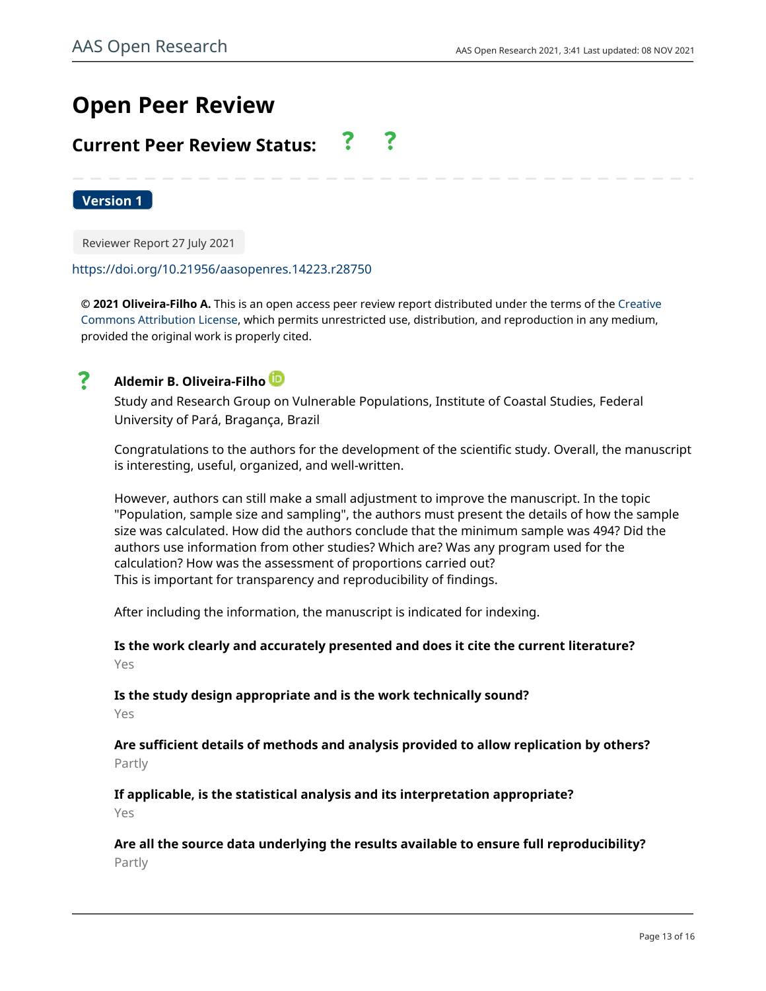# **Open Peer Review**

# **Current Peer Review Status:**

**Version 1**

Reviewer Report 27 July 2021

## <https://doi.org/10.21956/aasopenres.14223.r28750>

**© 2021 Oliveira-Filho A.** This is an open access peer review report distributed under the terms of the [Creative](https://creativecommons.org/licenses/by/4.0/) [Commons Attribution License](https://creativecommons.org/licenses/by/4.0/), which permits unrestricted use, distribution, and reproduction in any medium, provided the original work is properly cited.



# **Aldemir B. Oliveira-Filho**

Study and Research Group on Vulnerable Populations, Institute of Coastal Studies, Federal University of Pará, Bragança, Brazil

Congratulations to the authors for the development of the scientific study. Overall, the manuscript is interesting, useful, organized, and well-written.

However, authors can still make a small adjustment to improve the manuscript. In the topic "Population, sample size and sampling", the authors must present the details of how the sample size was calculated. How did the authors conclude that the minimum sample was 494? Did the authors use information from other studies? Which are? Was any program used for the calculation? How was the assessment of proportions carried out? This is important for transparency and reproducibility of findings.

After including the information, the manuscript is indicated for indexing.

**Is the work clearly and accurately presented and does it cite the current literature?** Yes

**Is the study design appropriate and is the work technically sound?** Yes

**Are sufficient details of methods and analysis provided to allow replication by others?** Partly

**If applicable, is the statistical analysis and its interpretation appropriate?** Yes

**Are all the source data underlying the results available to ensure full reproducibility?** Partly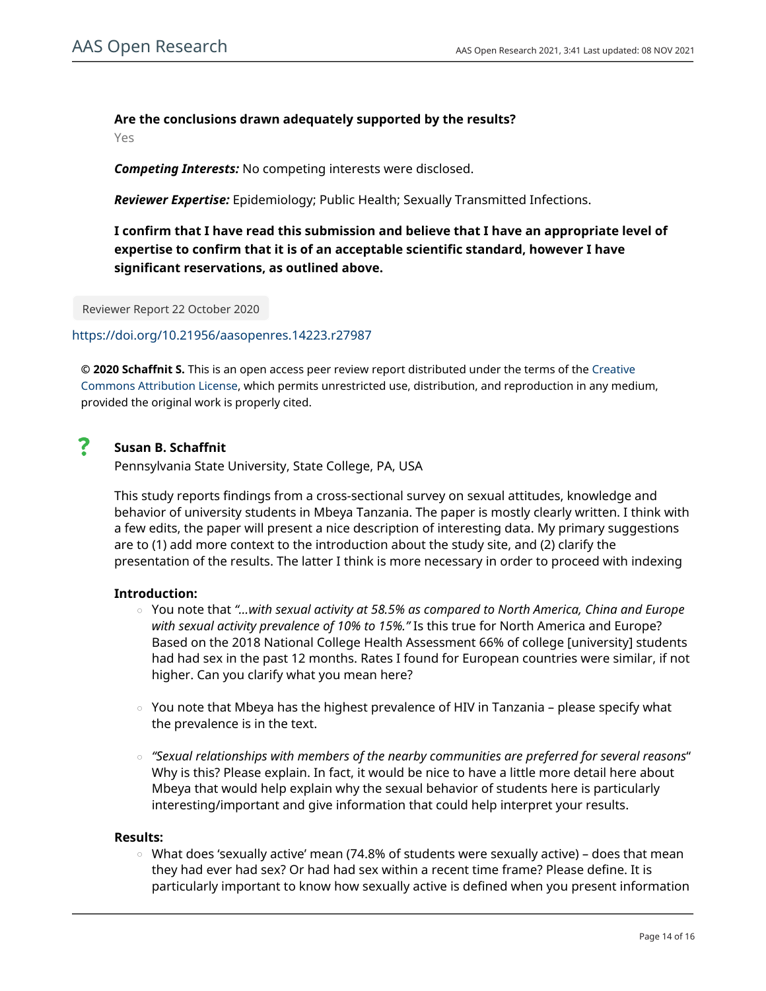# **Are the conclusions drawn adequately supported by the results?**

Yes

*Competing Interests:* No competing interests were disclosed.

*Reviewer Expertise:* Epidemiology; Public Health; Sexually Transmitted Infections.

**I confirm that I have read this submission and believe that I have an appropriate level of expertise to confirm that it is of an acceptable scientific standard, however I have significant reservations, as outlined above.**

Reviewer Report 22 October 2020

<https://doi.org/10.21956/aasopenres.14223.r27987>

**© 2020 Schaffnit S.** This is an open access peer review report distributed under the terms of the [Creative](https://creativecommons.org/licenses/by/4.0/) [Commons Attribution License](https://creativecommons.org/licenses/by/4.0/), which permits unrestricted use, distribution, and reproduction in any medium, provided the original work is properly cited.

#### 7 **Susan B. Schaffnit**

Pennsylvania State University, State College, PA, USA

This study reports findings from a cross-sectional survey on sexual attitudes, knowledge and behavior of university students in Mbeya Tanzania. The paper is mostly clearly written. I think with a few edits, the paper will present a nice description of interesting data. My primary suggestions are to (1) add more context to the introduction about the study site, and (2) clarify the presentation of the results. The latter I think is more necessary in order to proceed with indexing

# **Introduction:**

- You note that *"…with sexual activity at 58.5% as compared to North America, China and Europe with sexual activity prevalence of 10% to 15%."* Is this true for North America and Europe? Based on the 2018 National College Health Assessment 66% of college [university] students had had sex in the past 12 months. Rates I found for European countries were similar, if not higher. Can you clarify what you mean here?
- $\circ$   $\,$  You note that Mbeya has the highest prevalence of HIV in Tanzania please specify what the prevalence is in the text.
- *"Sexual relationships with members of the nearby communities are preferred for several reasons*" Why is this? Please explain. In fact, it would be nice to have a little more detail here about Mbeya that would help explain why the sexual behavior of students here is particularly interesting/important and give information that could help interpret your results.

# **Results:**

○ What does 'sexually active' mean (74.8% of students were sexually active) – does that mean they had ever had sex? Or had had sex within a recent time frame? Please define. It is particularly important to know how sexually active is defined when you present information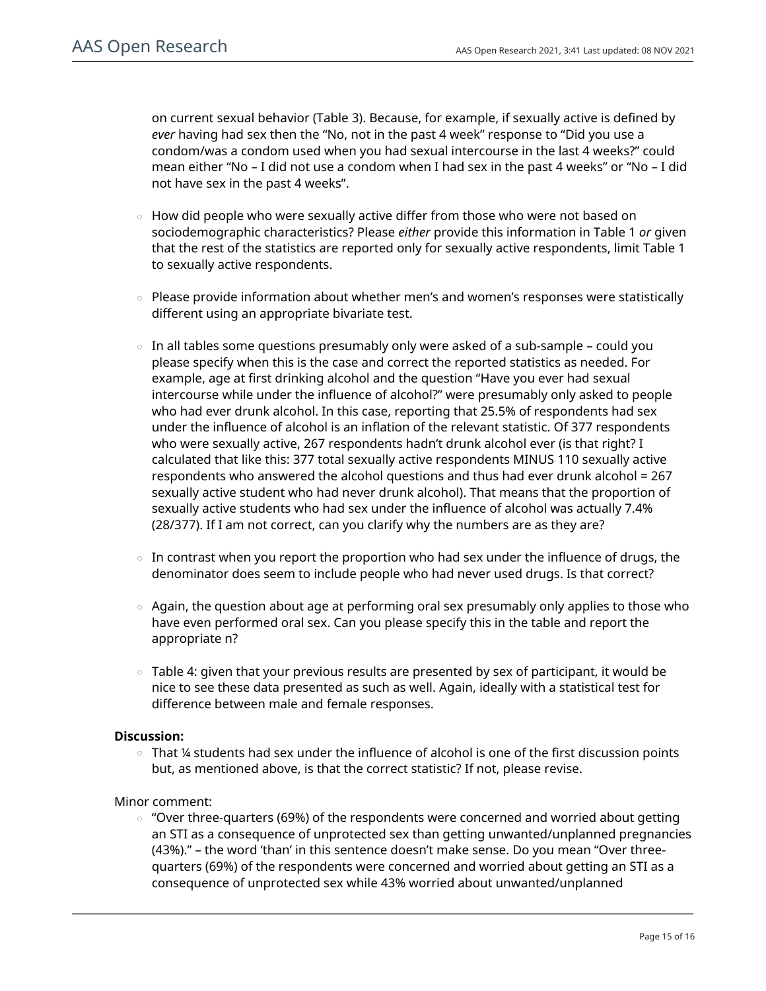on current sexual behavior (Table 3). Because, for example, if sexually active is defined by *ever* having had sex then the "No, not in the past 4 week" response to "Did you use a condom/was a condom used when you had sexual intercourse in the last 4 weeks?" could mean either "No – I did not use a condom when I had sex in the past 4 weeks" or "No – I did not have sex in the past 4 weeks".

- $\,\circ\,$  How did people who were sexually active differ from those who were not based on sociodemographic characteristics? Please *either* provide this information in Table 1 *or* given that the rest of the statistics are reported only for sexually active respondents, limit Table 1 to sexually active respondents.
- Please provide information about whether men's and women's responses were statistically different using an appropriate bivariate test. ○
- $\circ$   $\,$  In all tables some questions presumably only were asked of a sub-sample could you please specify when this is the case and correct the reported statistics as needed. For example, age at first drinking alcohol and the question "Have you ever had sexual intercourse while under the influence of alcohol?" were presumably only asked to people who had ever drunk alcohol. In this case, reporting that 25.5% of respondents had sex under the influence of alcohol is an inflation of the relevant statistic. Of 377 respondents who were sexually active, 267 respondents hadn't drunk alcohol ever (is that right? I calculated that like this: 377 total sexually active respondents MINUS 110 sexually active respondents who answered the alcohol questions and thus had ever drunk alcohol = 267 sexually active student who had never drunk alcohol). That means that the proportion of sexually active students who had sex under the influence of alcohol was actually 7.4% (28/377). If I am not correct, can you clarify why the numbers are as they are?
- $\circ$  In contrast when you report the proportion who had sex under the influence of drugs, the denominator does seem to include people who had never used drugs. Is that correct?
- $\circ$  Again, the question about age at performing oral sex presumably only applies to those who have even performed oral sex. Can you please specify this in the table and report the appropriate n?
- $\,\circ\,$  Table 4: given that your previous results are presented by sex of participant, it would be nice to see these data presented as such as well. Again, ideally with a statistical test for difference between male and female responses.

# **Discussion:**

 $\circ$   $\,$  That ¼ students had sex under the influence of alcohol is one of the first discussion points but, as mentioned above, is that the correct statistic? If not, please revise.

# Minor comment:

"Over three-quarters (69%) of the respondents were concerned and worried about getting an STI as a consequence of unprotected sex than getting unwanted/unplanned pregnancies (43%)." – the word 'than' in this sentence doesn't make sense. Do you mean "Over threequarters (69%) of the respondents were concerned and worried about getting an STI as a consequence of unprotected sex while 43% worried about unwanted/unplanned ○